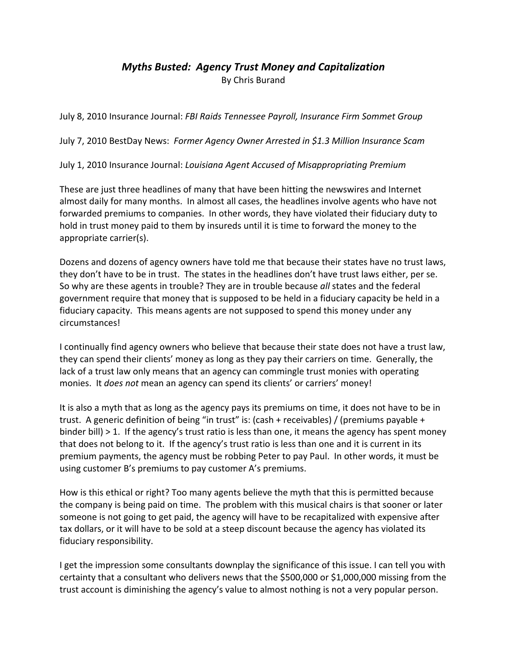## *Myths Busted: Agency Trust Money and Capitalization* By Chris Burand

July 8, 2010 Insurance Journal: *FBI Raids Tennessee Payroll, Insurance Firm Sommet Group*

July 7, 2010 BestDay News: *Former Agency Owner Arrested in \$1.3 Million Insurance Scam*

July 1, 2010 Insurance Journal: *Louisiana Agent Accused of Misappropriating Premium*

These are just three headlines of many that have been hitting the newswires and Internet almost daily for many months. In almost all cases, the headlines involve agents who have not forwarded premiums to companies. In other words, they have violated their fiduciary duty to hold in trust money paid to them by insureds until it is time to forward the money to the appropriate carrier(s).

Dozens and dozens of agency owners have told me that because their states have no trust laws, they don't have to be in trust. The states in the headlines don't have trust laws either, per se. So why are these agents in trouble? They are in trouble because *all* states and the federal government require that money that is supposed to be held in a fiduciary capacity be held in a fiduciary capacity. This means agents are not supposed to spend this money under any circumstances!

I continually find agency owners who believe that because their state does not have a trust law, they can spend their clients' money as long as they pay their carriers on time. Generally, the lack of a trust law only means that an agency can commingle trust monies with operating monies. It *does not* mean an agency can spend its clients' or carriers' money!

It is also a myth that as long as the agency pays its premiums on time, it does not have to be in trust. A generic definition of being "in trust" is: (cash + receivables) / (premiums payable + binder bill) > 1. If the agency's trust ratio is less than one, it means the agency has spent money that does not belong to it. If the agency's trust ratio is less than one and it is current in its premium payments, the agency must be robbing Peter to pay Paul. In other words, it must be using customer B's premiums to pay customer A's premiums.

How is this ethical or right? Too many agents believe the myth that this is permitted because the company is being paid on time. The problem with this musical chairs is that sooner or later someone is not going to get paid, the agency will have to be recapitalized with expensive after tax dollars, or it will have to be sold at a steep discount because the agency has violated its fiduciary responsibility.

I get the impression some consultants downplay the significance of this issue. I can tell you with certainty that a consultant who delivers news that the \$500,000 or \$1,000,000 missing from the trust account is diminishing the agency's value to almost nothing is not a very popular person.